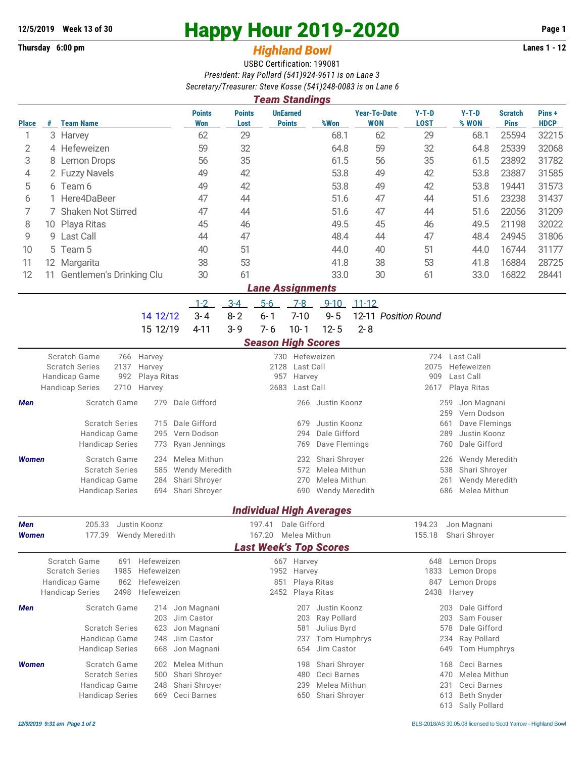## **12/5/2019 Week 13 of 30 Happy Hour 2019-2020 Page 1**

## **Thursday 6:00 pm** *Highland Bowl* **Lanes 1 - 12**

USBC Certification: 199081 *President: Ray Pollard (541)924-9611 is on Lane 3 Secretary/Treasurer: Steve Kosse (541)248-0083 is on Lane 6*

| Team Standings                          |                      |                          |      |             |                             |                       |           |                                  |            |                                   |                        |                  |                               |                      |
|-----------------------------------------|----------------------|--------------------------|------|-------------|-----------------------------|-----------------------|-----------|----------------------------------|------------|-----------------------------------|------------------------|------------------|-------------------------------|----------------------|
| <b>Place</b>                            | #                    | <b>Team Name</b>         |      |             | <b>Points</b><br><b>Won</b> | <b>Points</b><br>Lost |           | <b>UnEarned</b><br><b>Points</b> | %Won       | <b>Year-To-Date</b><br><b>WON</b> | $Y-T-D$<br><b>LOST</b> | $Y-T-D$<br>% WON | <b>Scratch</b><br><b>Pins</b> | Pins+<br><b>HDCP</b> |
| 1                                       |                      | 3 Harvey                 |      |             | 62                          | 29                    |           |                                  | 68.1       | 62                                | 29                     | 68.1             | 25594                         | 32215                |
| 2                                       |                      | 4 Hefeweizen             |      |             | 59                          | 32                    |           |                                  | 64.8       | 59                                | 32                     | 64.8             | 25339                         | 32068                |
| 3                                       |                      | 8 Lemon Drops            |      |             | 56                          | 35                    |           |                                  | 61.5       | 56                                | 35                     | 61.5             | 23892                         | 31782                |
| 4                                       |                      | 2 Fuzzy Navels           |      |             | 49                          | 42                    |           |                                  | 53.8       | 49                                | 42                     | 53.8             | 23887                         | 31585                |
| 5                                       |                      | 6 Team 6                 |      |             | 49                          | 42                    |           |                                  | 53.8       | 49                                | 42                     | 53.8             | 19441                         | 31573                |
| 6                                       |                      | 1 Here4DaBeer            |      |             | 47                          | 44                    |           |                                  | 51.6       | 47                                | 44                     | 51.6             | 23238                         | 31437                |
| 7                                       | 7 Shaken Not Stirred |                          |      |             | 47                          | 44                    |           |                                  | 51.6       | 47                                | 44                     | 51.6             | 22056                         | 31209                |
| 8                                       |                      | 10 Playa Ritas           |      |             | 45                          | 46                    |           |                                  | 49.5       | 45                                | 46                     | 49.5             | 21198                         | 32022                |
| 9                                       |                      | 9 Last Call              |      |             | 44                          | 47                    |           |                                  | 48.4       | 44                                | 47                     | 48.4             | 24945                         | 31806                |
| 10                                      |                      | 5 Team 5                 |      |             | 40                          | 51                    |           |                                  | 44.0       | 40                                | 51                     | 44.0             | 16744                         | 31177                |
| 11                                      |                      | 12 Margarita             |      |             | 38                          | 53                    |           |                                  | 41.8       | 38                                | 53                     | 41.8             | 16884                         | 28725                |
| 12                                      | 11                   | Gentlemen's Drinking Clu |      |             | 30                          | 61                    |           |                                  | 33.0       | 30                                | 61                     | 33.0             | 16822                         | 28441                |
|                                         |                      |                          |      |             |                             |                       |           | <b>Lane Assignments</b>          |            |                                   |                        |                  |                               |                      |
|                                         |                      |                          |      |             | $1 - 2$                     | $3 - 4$               | $5-6$     | $7 - 8$                          | $9 - 10$   | $11 - 12$                         |                        |                  |                               |                      |
|                                         |                      |                          |      | 14 12/12    | $3 - 4$                     | $8 - 2$               | $6 - 1$   | $7 - 10$                         | $9 - 5$    | 12-11 Position Round              |                        |                  |                               |                      |
|                                         |                      |                          |      | 15 12/19    | $4 - 11$                    | $3 - 9$               | $7 - 6$   | $10 - 1$                         | $12 - 5$   | $2 - 8$                           |                        |                  |                               |                      |
|                                         |                      |                          |      |             |                             |                       |           | <b>Season High Scores</b>        |            |                                   |                        |                  |                               |                      |
| Scratch Game<br>766<br>Harvey           |                      |                          |      |             |                             |                       | 730       | Hefeweizen                       | 724        | Last Call                         |                        |                  |                               |                      |
| <b>Scratch Series</b><br>2137<br>Harvey |                      |                          |      |             |                             | 2128                  | Last Call | 2075                             | Hefeweizen |                                   |                        |                  |                               |                      |
|                                         |                      | Handicap Game            | 992  | Playa Ritas | 957<br>Harvey               |                       |           |                                  |            |                                   | 909                    | Last Call        |                               |                      |
|                                         |                      | <b>Handicap Series</b>   | 2710 | Harvey      |                             |                       | 2683      | Last Call                        | 2617       | Playa Ritas                       |                        |                  |                               |                      |

|              | <b>Handicap Series</b><br>2710 Harvey |     |                     | 2683 | Last Call |                    |     | 2617 Playa Ritas   |  |
|--------------|---------------------------------------|-----|---------------------|------|-----------|--------------------|-----|--------------------|--|
| Men          | Scratch Game                          |     | Dale Gifford<br>279 |      |           | 266 Justin Koonz   | 259 | Jon Magnani        |  |
|              |                                       |     |                     |      |           |                    |     | 259 Vern Dodson    |  |
|              | <b>Scratch Series</b>                 |     | 715 Dale Gifford    |      | 679       | Justin Koonz       | 661 | Dave Flemings      |  |
|              | Handicap Game                         |     | 295 Vern Dodson     |      |           | 294 Dale Gifford   | 289 | Justin Koonz       |  |
|              | <b>Handicap Series</b>                |     | 773 Ryan Jennings   |      |           | 769 Dave Flemings  | 760 | Dale Gifford       |  |
| <b>Women</b> | Scratch Game                          | 234 | Melea Mithun        |      |           | 232 Shari Shroyer  |     | 226 Wendy Meredith |  |
|              | <b>Scratch Series</b>                 |     | 585 Wendy Meredith  |      |           | 572 Melea Mithun   |     | 538 Shari Shroyer  |  |
|              | Handicap Game                         |     | 284 Shari Shroyer   |      |           | 270 Melea Mithun   |     | 261 Wendy Meredith |  |
|              | <b>Handicap Series</b>                |     | 694 Shari Shroyer   |      |           | 690 Wendy Meredith |     | 686 Melea Mithun   |  |

## *Individual High Averages*

| Men<br><b>Women</b> | 205.33<br>Justin Koonz<br>Wendy Meredith<br>177.39                                                             | 197.41<br>167.20                                                                                      | Dale Gifford<br>Melea Mithun                                                                                | 194.23<br>155.18           | Jon Magnani<br>Shari Shrover                                                          |
|---------------------|----------------------------------------------------------------------------------------------------------------|-------------------------------------------------------------------------------------------------------|-------------------------------------------------------------------------------------------------------------|----------------------------|---------------------------------------------------------------------------------------|
|                     |                                                                                                                |                                                                                                       | <b>Last Week's Top Scores</b>                                                                               |                            |                                                                                       |
|                     | Scratch Game<br>691<br><b>Scratch Series</b><br>1985<br>Handicap Game<br>862<br><b>Handicap Series</b><br>2498 | Hefeweizen<br>Hefeweizen<br>Hefeweizen<br>851<br>Hefeweizen                                           | 667 Harvey<br>1952 Harvey<br>Playa Ritas<br>2452 Playa Ritas                                                | 648<br>1833<br>847<br>2438 | Lemon Drops<br>Lemon Drops<br>Lemon Drops<br>Harvey                                   |
| Men                 | Scratch Game<br><b>Scratch Series</b><br>Handicap Game<br><b>Handicap Series</b>                               | 214 Jon Magnani<br>Jim Castor<br>203<br>623<br>Jon Magnani<br>Jim Castor<br>248<br>668<br>Jon Magnani | Justin Koonz<br>207<br>Ray Pollard<br>203<br>581<br>Julius Byrd<br>Tom Humphrys<br>237<br>Jim Castor<br>654 | 203<br>203<br>578<br>649   | Dale Gifford<br>Sam Fouser<br>Dale Gifford<br>234 Ray Pollard<br>Tom Humphrys         |
| <b>Women</b>        | Scratch Game<br><b>Scratch Series</b><br>Handicap Game<br><b>Handicap Series</b>                               | 202 Melea Mithun<br>Shari Shroyer<br>500<br>Shari Shroyer<br>248<br>Ceci Barnes<br>669                | Shari Shroyer<br>198<br>Ceci Barnes<br>480<br>Melea Mithun<br>239<br>Shari Shroyer<br>650                   | 470<br>231<br>613<br>613   | 168 Ceci Barnes<br>Melea Mithun<br>Ceci Barnes<br><b>Beth Snyder</b><br>Sally Pollard |